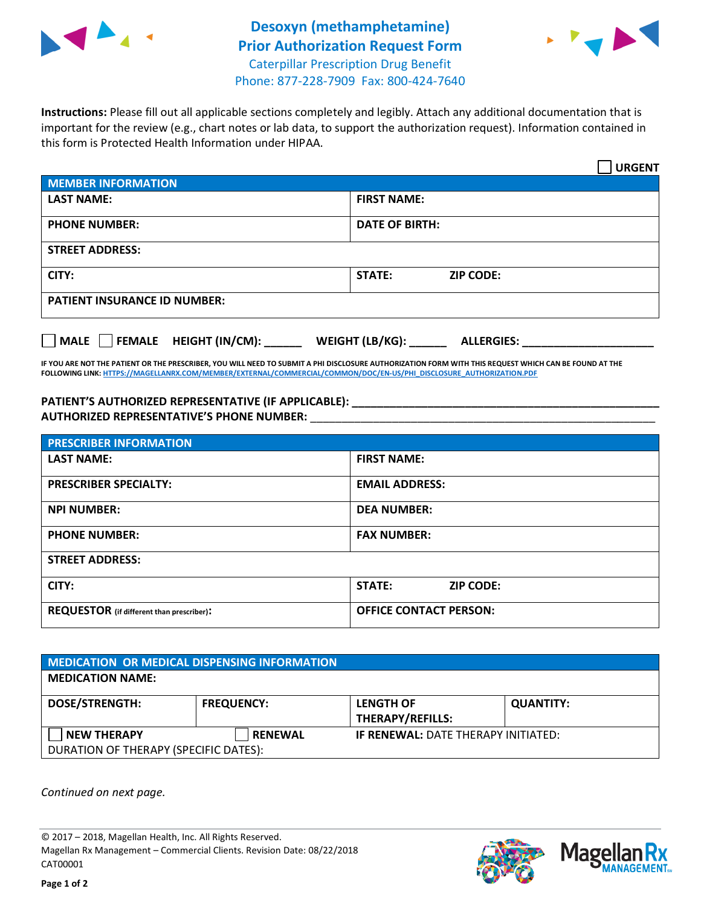



**Instructions:** Please fill out all applicable sections completely and legibly. Attach any additional documentation that is important for the review (e.g., chart notes or lab data, to support the authorization request). Information contained in this form is Protected Health Information under HIPAA.

|                                     | <b>URGENT</b>                        |  |  |  |
|-------------------------------------|--------------------------------------|--|--|--|
| <b>MEMBER INFORMATION</b>           |                                      |  |  |  |
| <b>LAST NAME:</b>                   | <b>FIRST NAME:</b>                   |  |  |  |
| <b>PHONE NUMBER:</b>                | <b>DATE OF BIRTH:</b>                |  |  |  |
| <b>STREET ADDRESS:</b>              |                                      |  |  |  |
| CITY:                               | <b>STATE:</b><br><b>ZIP CODE:</b>    |  |  |  |
| <b>PATIENT INSURANCE ID NUMBER:</b> |                                      |  |  |  |
| MALE FEMALE HEIGHT (IN/CM):         | WEIGHT (LB/KG):<br><b>ALLERGIES:</b> |  |  |  |

**IF YOU ARE NOT THE PATIENT OR THE PRESCRIBER, YOU WILL NEED TO SUBMIT A PHI DISCLOSURE AUTHORIZATION FORM WITH THIS REQUEST WHICH CAN BE FOUND AT THE FOLLOWING LINK[: HTTPS://MAGELLANRX.COM/MEMBER/EXTERNAL/COMMERCIAL/COMMON/DOC/EN-US/PHI\\_DISCLOSURE\\_AUTHORIZATION.PDF](https://magellanrx.com/member/external/commercial/common/doc/en-us/PHI_Disclosure_Authorization.pdf)**

**PATIENT'S AUTHORIZED REPRESENTATIVE (IF APPLICABLE): \_\_\_\_\_\_\_\_\_\_\_\_\_\_\_\_\_\_\_\_\_\_\_\_\_\_\_\_\_\_\_\_\_\_\_\_\_\_\_\_\_\_\_\_\_\_\_\_\_ AUTHORIZED REPRESENTATIVE'S PHONE NUMBER:** \_\_\_\_\_\_\_\_\_\_\_\_\_\_\_\_\_\_\_\_\_\_\_\_\_\_\_\_\_\_\_\_\_\_\_\_\_\_\_\_\_\_\_\_\_\_\_\_\_\_\_\_\_\_\_

| <b>PRESCRIBER INFORMATION</b>             |                               |  |  |  |
|-------------------------------------------|-------------------------------|--|--|--|
| <b>LAST NAME:</b>                         | <b>FIRST NAME:</b>            |  |  |  |
| <b>PRESCRIBER SPECIALTY:</b>              | <b>EMAIL ADDRESS:</b>         |  |  |  |
| <b>NPI NUMBER:</b>                        | <b>DEA NUMBER:</b>            |  |  |  |
| <b>PHONE NUMBER:</b>                      | <b>FAX NUMBER:</b>            |  |  |  |
| <b>STREET ADDRESS:</b>                    |                               |  |  |  |
| CITY:                                     | STATE:<br><b>ZIP CODE:</b>    |  |  |  |
| REQUESTOR (if different than prescriber): | <b>OFFICE CONTACT PERSON:</b> |  |  |  |

| <b>MEDICATION OR MEDICAL DISPENSING INFORMATION</b> |                   |                                            |                  |  |  |
|-----------------------------------------------------|-------------------|--------------------------------------------|------------------|--|--|
| <b>MEDICATION NAME:</b>                             |                   |                                            |                  |  |  |
| <b>DOSE/STRENGTH:</b>                               | <b>FREQUENCY:</b> | <b>LENGTH OF</b><br>THERAPY/REFILLS:       | <b>QUANTITY:</b> |  |  |
| <b>NEW THERAPY</b>                                  | <b>RENEWAL</b>    | <b>IF RENEWAL: DATE THERAPY INITIATED:</b> |                  |  |  |
| DURATION OF THERAPY (SPECIFIC DATES):               |                   |                                            |                  |  |  |

*Continued on next page.*

© 2017 – 2018, Magellan Health, Inc. All Rights Reserved. Magellan Rx Management – Commercial Clients. Revision Date: 08/22/2018 CAT00001